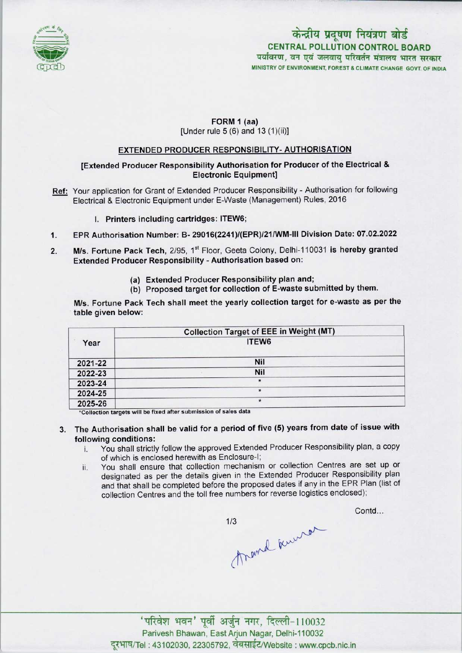

# पर्यावरण, वन एवं जलवायु परिवर्तन मंत्रालय भारत सरकार MINISTRY OF ENVIRONMENT, FOREST & CLIMATE CHANGE GOVT. OF INDIA कोन्द्री<br>CENTRAL P CENTRAL PO LLUTION CONTROL BOARDकेन्द्रीय प्रदूषण नियंत्रण बोर्ड

### FORM 1 (aa) [Under rule  $5(6)$  and  $13(1)(ii)$ ]

### EXTENDED PRODUCER RESPONSIBILITY- AUTHORISATION

[Extended Producer Responsibility Authorisation for Producer of the Electrical & Electronic Equipment]

- Ref: Your application for Grant of Extended Producer Responsibility Authorisation for following Electrical & Electronic Equipment under E-Waste (Management) Rules, 2016
	- I. Printers including cartridges: ITEW6;
- 1.EPR Authorisation Number: B- 29016(2241)/(EPR)/21/WM-lll Division Date: 07.02.2022
- 2. M/s. Fortune Pack Tech, 2/95, 1<sup>st</sup> Floor, Geeta Colony, Delhi-110031 is hereby granted Extended Producer Responsibility - Authorisation based on:
	- (a)Extended Producer Responsibility plan and;
	- (b) Proposed target for collection of E-waste submitted by them.

M/s. Fortune Pack Tech shall meet the yearly collection target for e-waste as per the table given below:

|         | <b>Collection Target of EEE in Weight (MT)</b> |
|---------|------------------------------------------------|
| Year    | ITEW6                                          |
| 2021-22 | Nil                                            |
| 2022-23 | Nil                                            |
| 2023-24 | $\star$                                        |
| 2024-25 | $\star$                                        |
| 2025-26 | $\star$                                        |

\*Collection targets will be fixed after submission of sales data

# 3. The Authorisation shall be valid for a period of five (5) years from date of issue with following conditions:

- i. You shall strictly follow the approved Extended Producer Responsibility plan, <sup>a</sup> copy of which is enclosed herewith as Enclosure-I;
- ii. You shall ensure that collection mechanism or collection Centres are set up or designated as per the details given in the Extended Producer Responsibility plan and that shall be completed before the proposed dates if any in the EPR Plan (list of collection Centres and the toll free numbers for reverse logistics enclosed);

Contd...

 $1/3$ thand knurst

'परिवेश भवन' पूर्वी अर्जुन नगर, दिल्ली-110032 Parivesh Bhawan, East Arjun Nagar, Delhi-110032 दूरभाष/Tel : 43102030, 22305792, वेबसाईट/Website : www.cpcb.nic.in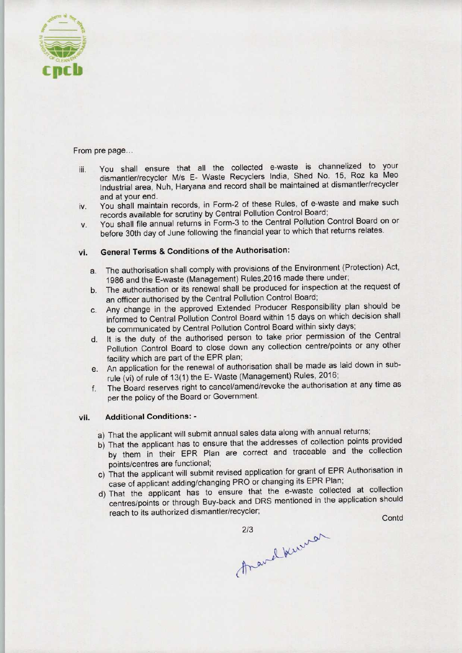

From pre page...

- iii. You shall ensure that all the collected e-waste is channelized to your dismantler/recycler M/s E- Waste Recyclers India, Shed No. 15, Roz ka Meo Industrial area, Nuh, Haryana and record shall be maintained at dismantler/recycler and at your end.
- iv. You shall maintain records, in Form-2 of these Rules, of e-waste and make such records available for scrutiny by Central Pollution Control Board;
- v. You shall file annual returns in Form-3 to the Central Pollution Control Board on or before 30th day of June following the financial year to which that returns relates.

## vi. General Terms & Conditions of the Authorisation:

- a. The authorisation shall comply with provisions of the Environment (Protection) Act, 1986 and the E-waste (Management) Rules, 2016 made there under;
- b.The authorisation or its renewal shall be produced for inspection at the request of an officer authorised by the Central Pollution Control Board;
- c.Any change in the approved Extended Producer Responsibility plan should be informed to Central Pollution Control Board within 15 days on which decision shall be communicated by Central Pollution Control Board within sixty days;
- d. It is the duty of the authorised person to take prior permission of the Central Pollution Control Board to close down any collection centre/points or any other facility which are part of the EPR plan;
- e.An application for the renewal of authorisation shall be made aslaid down in subrule (vi) of rule of 13(1) the E- Waste (Management) Rules, 2016;
- f.The Board reserves right to cancel/amend/revoke the authorisation at any time as per the policy of the Board or Government.

#### vii. Additional Conditions: -

- a) That the applicant will submit annual sales data along with annual returns;
- b) That the applicant has to ensure that the addresses of collection points provided by them in their EPR Plan are correct and traceable and the collection points/centres are functional;
- c) That the applicant will submit revised application for grant of EPR Authorisation in case of applicant adding/changing PRO or changing its EPR Plan;
- d)That the applicant has to ensure that the e-waste collected at collection centres/points or through Buy-back and DRS mentioned in the application should Pollution Control Board to close down any collection centrality which are part of the EPR plan;<br>
An application for the renewal of authorisation shall be made in the renewal of authorisation shall be made in the concel/ame Ie and the collection<br>of EPR Authorisation in<br>R Plan;<br>collected at collection<br>the application should<br>Contd